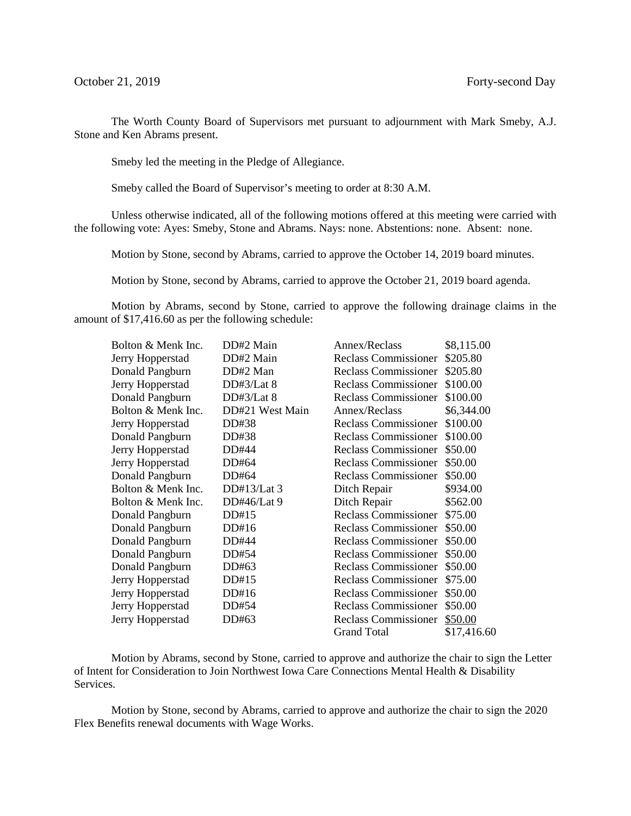The Worth County Board of Supervisors met pursuant to adjournment with Mark Smeby, A.J. Stone and Ken Abrams present.

Smeby led the meeting in the Pledge of Allegiance.

Smeby called the Board of Supervisor's meeting to order at 8:30 A.M.

Unless otherwise indicated, all of the following motions offered at this meeting were carried with the following vote: Ayes: Smeby, Stone and Abrams. Nays: none. Abstentions: none. Absent: none.

Motion by Stone, second by Abrams, carried to approve the October 14, 2019 board minutes.

Motion by Stone, second by Abrams, carried to approve the October 21, 2019 board agenda.

Motion by Abrams, second by Stone, carried to approve the following drainage claims in the amount of \$17,416.60 as per the following schedule:

| Bolton & Menk Inc. | DD#2 Main       | Annex/Reclass               | \$8,115.00  |
|--------------------|-----------------|-----------------------------|-------------|
| Jerry Hopperstad   | DD#2 Main       | <b>Reclass Commissioner</b> | \$205.80    |
| Donald Pangburn    | DD#2 Man        | <b>Reclass Commissioner</b> | \$205.80    |
| Jerry Hopperstad   | DD#3/Lat 8      | <b>Reclass Commissioner</b> | \$100.00    |
| Donald Pangburn    | DD#3/Lat 8      | <b>Reclass Commissioner</b> | \$100.00    |
| Bolton & Menk Inc. | DD#21 West Main | Annex/Reclass               | \$6,344.00  |
| Jerry Hopperstad   | DD#38           | <b>Reclass Commissioner</b> | \$100.00    |
| Donald Pangburn    | DD#38           | <b>Reclass Commissioner</b> | \$100.00    |
| Jerry Hopperstad   | DD#44           | <b>Reclass Commissioner</b> | \$50.00     |
| Jerry Hopperstad   | DD#64           | Reclass Commissioner        | \$50.00     |
| Donald Pangburn    | DD#64           | <b>Reclass Commissioner</b> | \$50.00     |
| Bolton & Menk Inc. | $DD#13/Lat$ 3   | Ditch Repair                | \$934.00    |
| Bolton & Menk Inc. | DD#46/Lat $9$   | Ditch Repair                | \$562.00    |
| Donald Pangburn    | DD#15           | <b>Reclass Commissioner</b> | \$75.00     |
| Donald Pangburn    | DD#16           | <b>Reclass Commissioner</b> | \$50.00     |
| Donald Pangburn    | DD#44           | <b>Reclass Commissioner</b> | \$50.00     |
| Donald Pangburn    | DD#54           | <b>Reclass Commissioner</b> | \$50.00     |
| Donald Pangburn    | DD#63           | <b>Reclass Commissioner</b> | \$50.00     |
| Jerry Hopperstad   | DD#15           | <b>Reclass Commissioner</b> | \$75.00     |
| Jerry Hopperstad   | DD#16           | <b>Reclass Commissioner</b> | \$50.00     |
| Jerry Hopperstad   | DD#54           | Reclass Commissioner        | \$50.00     |
| Jerry Hopperstad   | DD#63           | <b>Reclass Commissioner</b> | \$50.00     |
|                    |                 | <b>Grand Total</b>          | \$17,416.60 |

Motion by Abrams, second by Stone, carried to approve and authorize the chair to sign the Letter of Intent for Consideration to Join Northwest Iowa Care Connections Mental Health & Disability Services.

Motion by Stone, second by Abrams, carried to approve and authorize the chair to sign the 2020 Flex Benefits renewal documents with Wage Works.